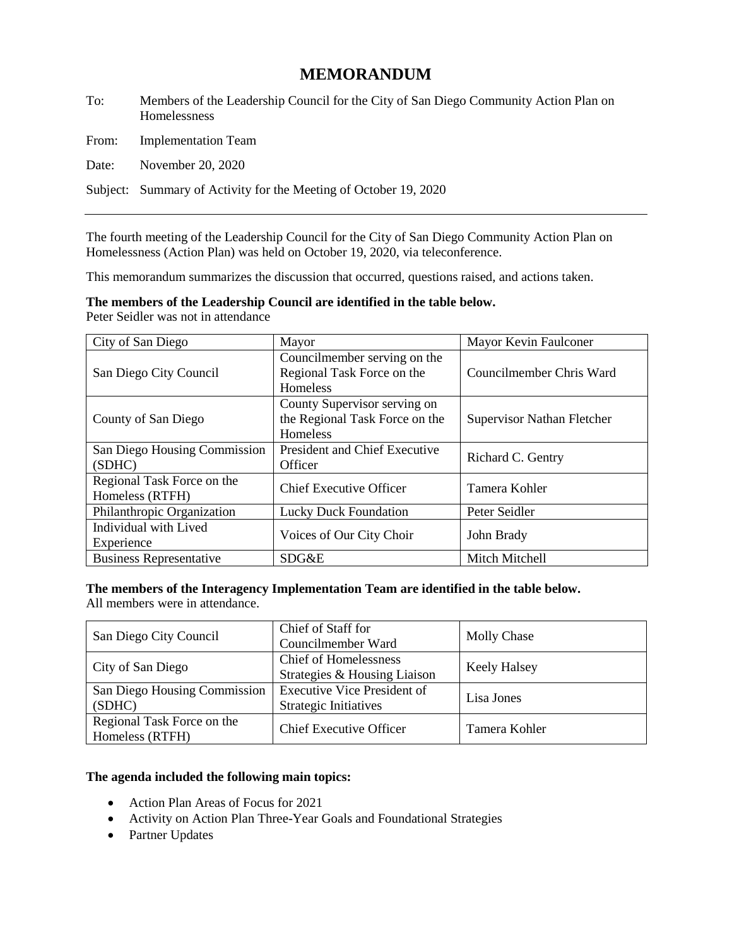## **MEMORANDUM**

To: Members of the Leadership Council for the City of San Diego Community Action Plan on Homelessness

From: Implementation Team

Date: November 20, 2020

Subject: Summary of Activity for the Meeting of October 19, 2020

The fourth meeting of the Leadership Council for the City of San Diego Community Action Plan on Homelessness (Action Plan) was held on October 19, 2020, via teleconference.

This memorandum summarizes the discussion that occurred, questions raised, and actions taken.

# **The members of the Leadership Council are identified in the table below.**

Peter Seidler was not in attendance

| City of San Diego                             | Mayor                                                                         | Mayor Kevin Faulconer      |  |
|-----------------------------------------------|-------------------------------------------------------------------------------|----------------------------|--|
| San Diego City Council                        | Councilmember serving on the<br>Regional Task Force on the<br><b>Homeless</b> | Councilmember Chris Ward   |  |
| County of San Diego                           | County Supervisor serving on<br>the Regional Task Force on the<br>Homeless    | Supervisor Nathan Fletcher |  |
| San Diego Housing Commission<br>(SDHC)        | <b>President and Chief Executive</b><br>Officer                               | Richard C. Gentry          |  |
| Regional Task Force on the<br>Homeless (RTFH) | <b>Chief Executive Officer</b>                                                | Tamera Kohler              |  |
| Philanthropic Organization                    | <b>Lucky Duck Foundation</b>                                                  | Peter Seidler              |  |
| Individual with Lived<br>Experience           | Voices of Our City Choir                                                      | John Brady                 |  |
| <b>Business Representative</b>                | SDG&E                                                                         | Mitch Mitchell             |  |

**The members of the Interagency Implementation Team are identified in the table below.**  All members were in attendance.

| San Diego City Council                        | Chief of Staff for<br>Councilmember Ward                           | Molly Chase         |
|-----------------------------------------------|--------------------------------------------------------------------|---------------------|
| City of San Diego                             | <b>Chief of Homelessness</b><br>Strategies & Housing Liaison       | <b>Keely Halsey</b> |
| San Diego Housing Commission<br>(SDHC)        | <b>Executive Vice President of</b><br><b>Strategic Initiatives</b> | Lisa Jones          |
| Regional Task Force on the<br>Homeless (RTFH) | <b>Chief Executive Officer</b>                                     | Tamera Kohler       |

## **The agenda included the following main topics:**

- Action Plan Areas of Focus for 2021
- Activity on Action Plan Three-Year Goals and Foundational Strategies
- Partner Updates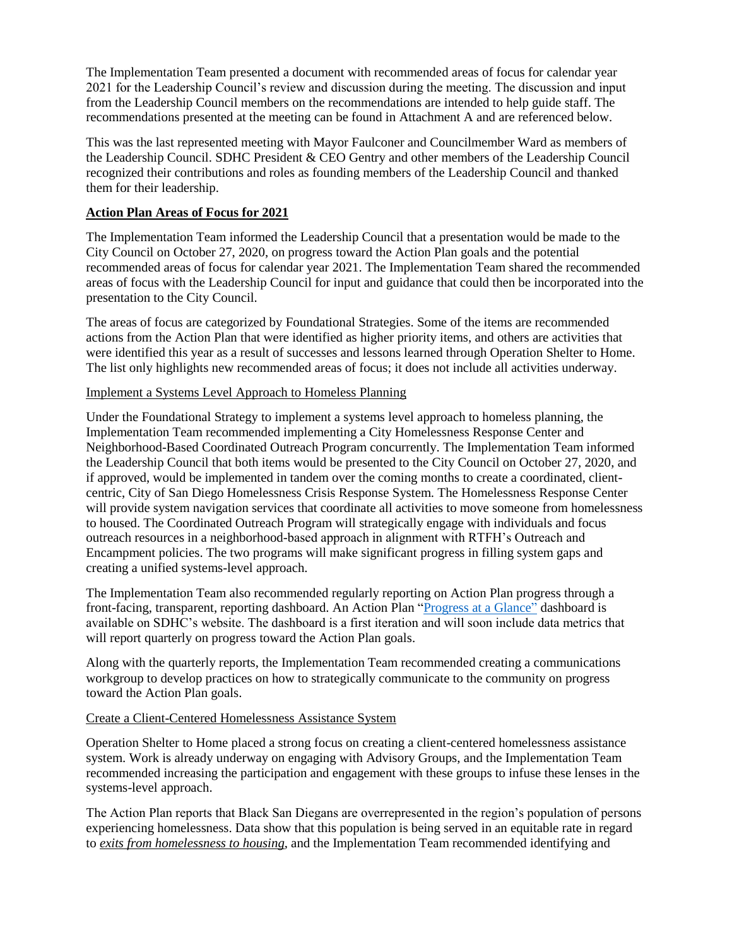The Implementation Team presented a document with recommended areas of focus for calendar year 2021 for the Leadership Council's review and discussion during the meeting. The discussion and input from the Leadership Council members on the recommendations are intended to help guide staff. The recommendations presented at the meeting can be found in Attachment A and are referenced below.

This was the last represented meeting with Mayor Faulconer and Councilmember Ward as members of the Leadership Council. SDHC President & CEO Gentry and other members of the Leadership Council recognized their contributions and roles as founding members of the Leadership Council and thanked them for their leadership.

## **Action Plan Areas of Focus for 2021**

The Implementation Team informed the Leadership Council that a presentation would be made to the City Council on October 27, 2020, on progress toward the Action Plan goals and the potential recommended areas of focus for calendar year 2021. The Implementation Team shared the recommended areas of focus with the Leadership Council for input and guidance that could then be incorporated into the presentation to the City Council.

The areas of focus are categorized by Foundational Strategies. Some of the items are recommended actions from the Action Plan that were identified as higher priority items, and others are activities that were identified this year as a result of successes and lessons learned through Operation Shelter to Home. The list only highlights new recommended areas of focus; it does not include all activities underway.

## Implement a Systems Level Approach to Homeless Planning

Under the Foundational Strategy to implement a systems level approach to homeless planning, the Implementation Team recommended implementing a City Homelessness Response Center and Neighborhood-Based Coordinated Outreach Program concurrently. The Implementation Team informed the Leadership Council that both items would be presented to the City Council on October 27, 2020, and if approved, would be implemented in tandem over the coming months to create a coordinated, clientcentric, City of San Diego Homelessness Crisis Response System. The Homelessness Response Center will provide system navigation services that coordinate all activities to move someone from homelessness to housed. The Coordinated Outreach Program will strategically engage with individuals and focus outreach resources in a neighborhood-based approach in alignment with RTFH's Outreach and Encampment policies. The two programs will make significant progress in filling system gaps and creating a unified systems-level approach.

The Implementation Team also recommended regularly reporting on Action Plan progress through a front-facing, transparent, reporting dashboard. An Action Plan ["Progress at a Glance"](https://public.tableau.com/profile/san.diego.housing.commission.sdhc.#!/vizhome/shared/TGKWYHWMX) dashboard is available on SDHC's website. The dashboard is a first iteration and will soon include data metrics that will report quarterly on progress toward the Action Plan goals.

Along with the quarterly reports, the Implementation Team recommended creating a communications workgroup to develop practices on how to strategically communicate to the community on progress toward the Action Plan goals.

## Create a Client-Centered Homelessness Assistance System

Operation Shelter to Home placed a strong focus on creating a client-centered homelessness assistance system. Work is already underway on engaging with Advisory Groups, and the Implementation Team recommended increasing the participation and engagement with these groups to infuse these lenses in the systems-level approach.

The Action Plan reports that Black San Diegans are overrepresented in the region's population of persons experiencing homelessness. Data show that this population is being served in an equitable rate in regard to *exits from homelessness to housing*, and the Implementation Team recommended identifying and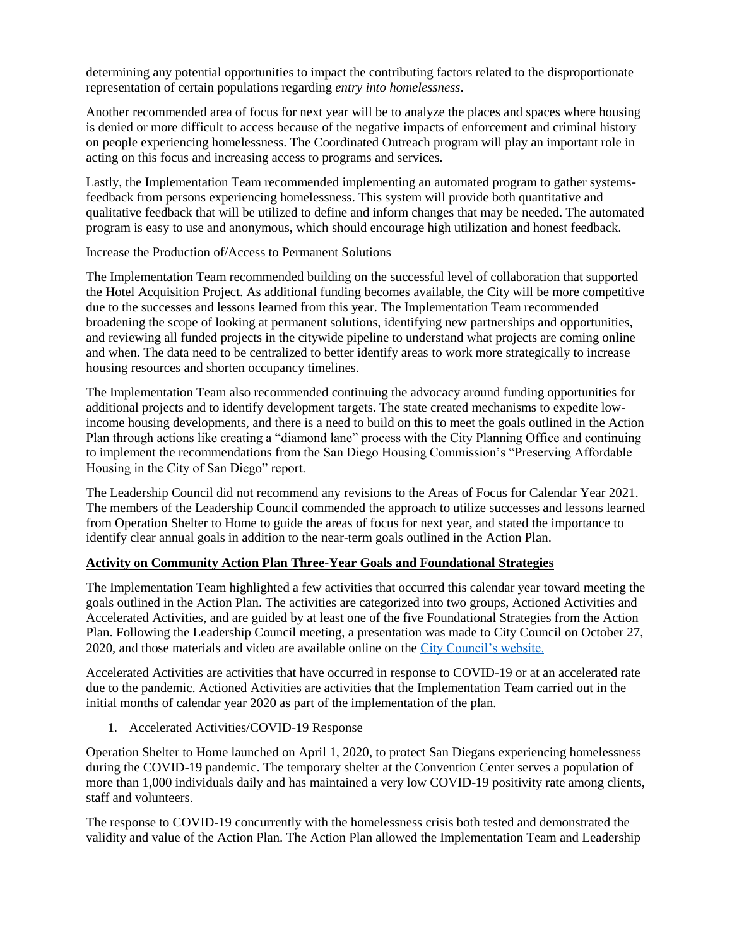determining any potential opportunities to impact the contributing factors related to the disproportionate representation of certain populations regarding *entry into homelessness*.

Another recommended area of focus for next year will be to analyze the places and spaces where housing is denied or more difficult to access because of the negative impacts of enforcement and criminal history on people experiencing homelessness. The Coordinated Outreach program will play an important role in acting on this focus and increasing access to programs and services.

Lastly, the Implementation Team recommended implementing an automated program to gather systemsfeedback from persons experiencing homelessness. This system will provide both quantitative and qualitative feedback that will be utilized to define and inform changes that may be needed. The automated program is easy to use and anonymous, which should encourage high utilization and honest feedback.

## Increase the Production of/Access to Permanent Solutions

The Implementation Team recommended building on the successful level of collaboration that supported the Hotel Acquisition Project. As additional funding becomes available, the City will be more competitive due to the successes and lessons learned from this year. The Implementation Team recommended broadening the scope of looking at permanent solutions, identifying new partnerships and opportunities, and reviewing all funded projects in the citywide pipeline to understand what projects are coming online and when. The data need to be centralized to better identify areas to work more strategically to increase housing resources and shorten occupancy timelines.

The Implementation Team also recommended continuing the advocacy around funding opportunities for additional projects and to identify development targets. The state created mechanisms to expedite lowincome housing developments, and there is a need to build on this to meet the goals outlined in the Action Plan through actions like creating a "diamond lane" process with the City Planning Office and continuing to implement the recommendations from the San Diego Housing Commission's "Preserving Affordable Housing in the City of San Diego" report.

The Leadership Council did not recommend any revisions to the Areas of Focus for Calendar Year 2021. The members of the Leadership Council commended the approach to utilize successes and lessons learned from Operation Shelter to Home to guide the areas of focus for next year, and stated the importance to identify clear annual goals in addition to the near-term goals outlined in the Action Plan.

## **Activity on Community Action Plan Three-Year Goals and Foundational Strategies**

The Implementation Team highlighted a few activities that occurred this calendar year toward meeting the goals outlined in the Action Plan. The activities are categorized into two groups, Actioned Activities and Accelerated Activities, and are guided by at least one of the five Foundational Strategies from the Action Plan. Following the Leadership Council meeting, a presentation was made to City Council on October 27, 2020, and those materials and video are available online on the [City Council's website.](https://www.sandiego.gov/city-clerk/officialdocs/council-agendas-minutes-results)

Accelerated Activities are activities that have occurred in response to COVID-19 or at an accelerated rate due to the pandemic. Actioned Activities are activities that the Implementation Team carried out in the initial months of calendar year 2020 as part of the implementation of the plan.

## 1. Accelerated Activities/COVID-19 Response

Operation Shelter to Home launched on April 1, 2020, to protect San Diegans experiencing homelessness during the COVID-19 pandemic. The temporary shelter at the Convention Center serves a population of more than 1,000 individuals daily and has maintained a very low COVID-19 positivity rate among clients, staff and volunteers.

The response to COVID-19 concurrently with the homelessness crisis both tested and demonstrated the validity and value of the Action Plan. The Action Plan allowed the Implementation Team and Leadership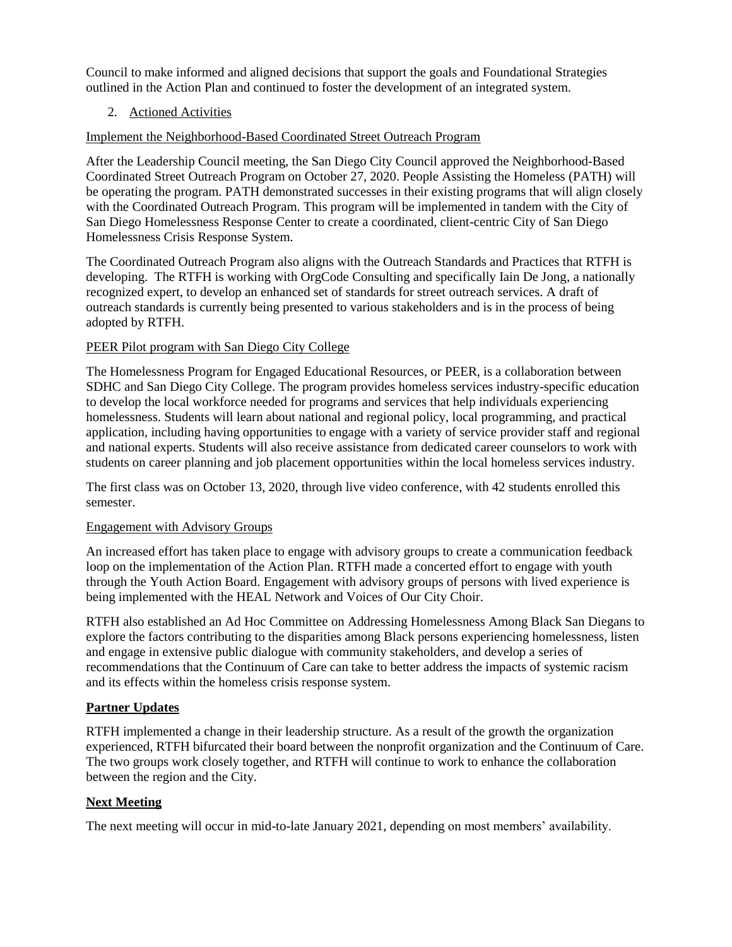Council to make informed and aligned decisions that support the goals and Foundational Strategies outlined in the Action Plan and continued to foster the development of an integrated system.

## 2. Actioned Activities

Implement the Neighborhood-Based Coordinated Street Outreach Program

After the Leadership Council meeting, the San Diego City Council approved the Neighborhood-Based Coordinated Street Outreach Program on October 27, 2020. People Assisting the Homeless (PATH) will be operating the program. PATH demonstrated successes in their existing programs that will align closely with the Coordinated Outreach Program. This program will be implemented in tandem with the City of San Diego Homelessness Response Center to create a coordinated, client-centric City of San Diego Homelessness Crisis Response System.

The Coordinated Outreach Program also aligns with the Outreach Standards and Practices that RTFH is developing. The RTFH is working with OrgCode Consulting and specifically Iain De Jong, a nationally recognized expert, to develop an enhanced set of standards for street outreach services. A draft of outreach standards is currently being presented to various stakeholders and is in the process of being adopted by RTFH.

## PEER Pilot program with San Diego City College

The Homelessness Program for Engaged Educational Resources, or PEER, is a collaboration between SDHC and San Diego City College. The program provides homeless services industry-specific education to develop the local workforce needed for programs and services that help individuals experiencing homelessness. Students will learn about national and regional policy, local programming, and practical application, including having opportunities to engage with a variety of service provider staff and regional and national experts. Students will also receive assistance from dedicated career counselors to work with students on career planning and job placement opportunities within the local homeless services industry.

The first class was on October 13, 2020, through live video conference, with 42 students enrolled this semester.

## Engagement with Advisory Groups

An increased effort has taken place to engage with advisory groups to create a communication feedback loop on the implementation of the Action Plan. RTFH made a concerted effort to engage with youth through the Youth Action Board. Engagement with advisory groups of persons with lived experience is being implemented with the HEAL Network and Voices of Our City Choir.

RTFH also established an Ad Hoc Committee on Addressing Homelessness Among Black San Diegans to explore the factors contributing to the disparities among Black persons experiencing homelessness, listen and engage in extensive public dialogue with community stakeholders, and develop a series of recommendations that the Continuum of Care can take to better address the impacts of systemic racism and its effects within the homeless crisis response system.

## **Partner Updates**

RTFH implemented a change in their leadership structure. As a result of the growth the organization experienced, RTFH bifurcated their board between the nonprofit organization and the Continuum of Care. The two groups work closely together, and RTFH will continue to work to enhance the collaboration between the region and the City.

## **Next Meeting**

The next meeting will occur in mid-to-late January 2021, depending on most members' availability.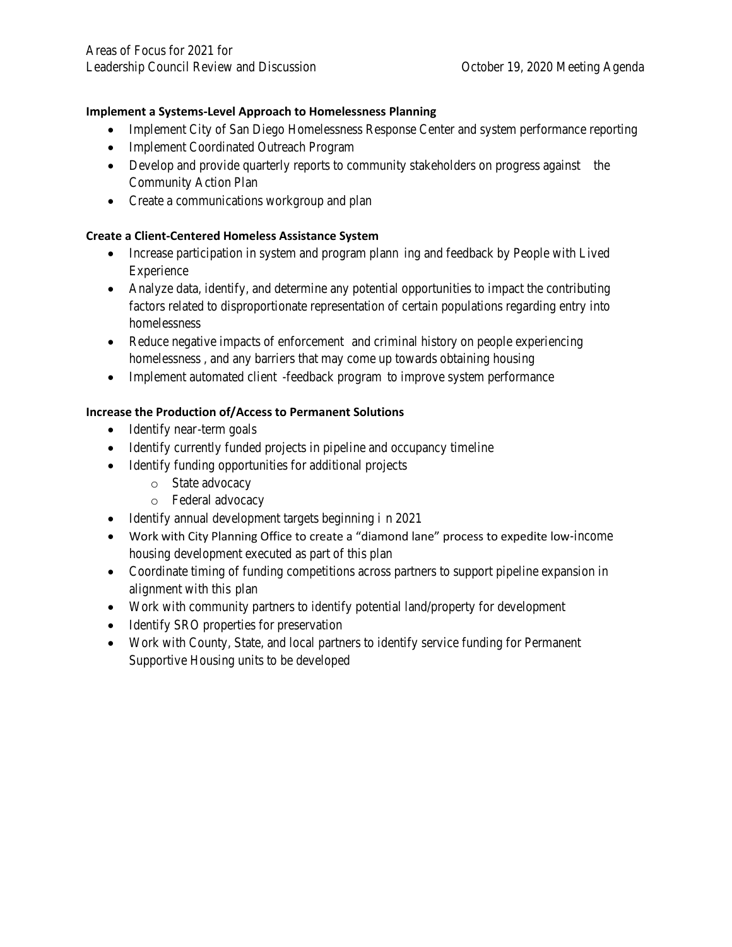**Implement a Systems-Level Approach to Homelessness Planning**

- Implement City of San Diego Homelessness Response Center and system performance reporting
- Implement Coordinated Outreach Program
- Develop and provide quarterly reports to community stakeholders on progress against the Community Action Plan
- Create a communications workgroup and plan

**Create a Client-Centered Homeless Assistance System**

- Increase participation in system and program plann ing and feedback by People with Lived Experience
- Analyze data, identify, and determine any potential opportunities to impact the contributing factors related to disproportionate representation of certain populations regarding entry into homelessness
- Reduce negative impacts of enforcement and criminal history on people experiencing homelessness, and any barriers that may come up towards obtaining housing
- Implement automated client -feedback program to improve system performance

**Increase the Production of/Access to Permanent Solutions**

- Identify near -term goals
- Identify currently funded projects in pipeline and occupancy timeline
- Identify funding opportunities for additional projects
	- o State advocacy
	- o Federal advocacy
- Identify annual development targets beginning i n 2021
- Work with City Planning Office to create a "diamond lane" process to expedite low-income housing development executed as part of this plan
- Coordinate timing of funding competitions across partners to support pipeline expansion in alignment with this plan
- Work with community partners to identify potential land/property for development
- Identify SRO properties for preservation
- Work with County, State, and local partners to identify service funding for Permanent Supportive Housing units to be developed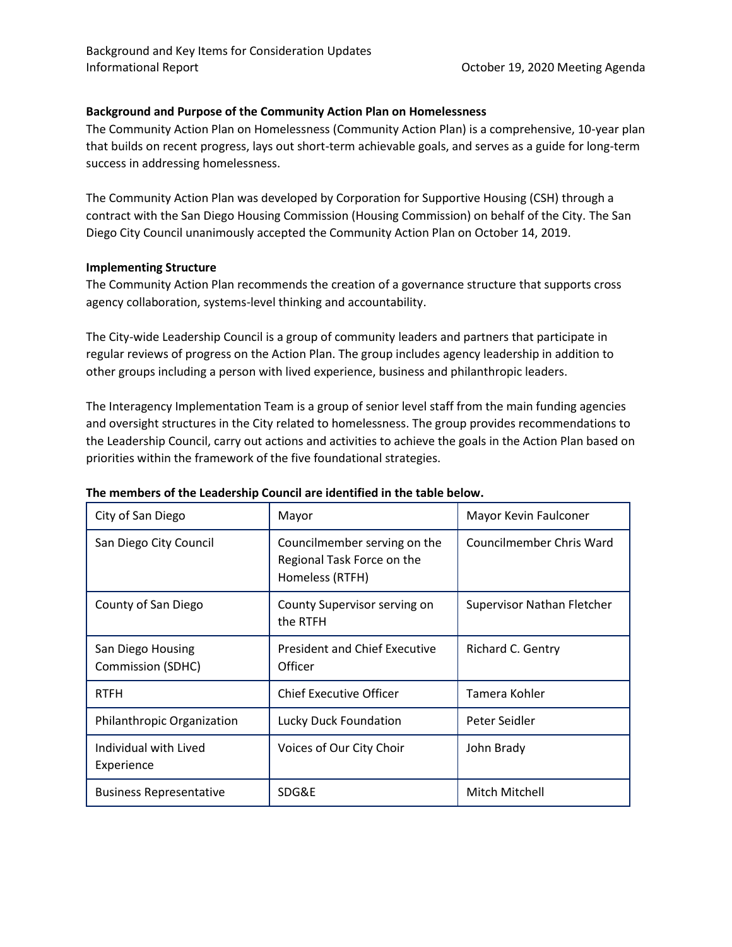## **Background and Purpose of the Community Action Plan on Homelessness**

The Community Action Plan on Homelessness (Community Action Plan) is a comprehensive, 10-year plan that builds on recent progress, lays out short-term achievable goals, and serves as a guide for long-term success in addressing homelessness.

The Community Action Plan was developed by Corporation for Supportive Housing (CSH) through a contract with the San Diego Housing Commission (Housing Commission) on behalf of the City. The San Diego City Council unanimously accepted the Community Action Plan on October 14, 2019.

## **Implementing Structure**

The Community Action Plan recommends the creation of a governance structure that supports cross agency collaboration, systems-level thinking and accountability.

The City-wide Leadership Council is a group of community leaders and partners that participate in regular reviews of progress on the Action Plan. The group includes agency leadership in addition to other groups including a person with lived experience, business and philanthropic leaders.

The Interagency Implementation Team is a group of senior level staff from the main funding agencies and oversight structures in the City related to homelessness. The group provides recommendations to the Leadership Council, carry out actions and activities to achieve the goals in the Action Plan based on priorities within the framework of the five foundational strategies.

| City of San Diego                             | Mayor                                                                         | Mayor Kevin Faulconer      |
|-----------------------------------------------|-------------------------------------------------------------------------------|----------------------------|
| San Diego City Council                        | Councilmember serving on the<br>Regional Task Force on the<br>Homeless (RTFH) | Councilmember Chris Ward   |
| County of San Diego                           | County Supervisor serving on<br>the RTFH                                      | Supervisor Nathan Fletcher |
| San Diego Housing<br><b>Commission (SDHC)</b> | <b>President and Chief Executive</b><br>Officer                               | Richard C. Gentry          |
| <b>RTFH</b>                                   | Chief Executive Officer                                                       | Tamera Kohler              |
| Philanthropic Organization                    | Lucky Duck Foundation                                                         | Peter Seidler              |
| Individual with Lived<br>Experience           | Voices of Our City Choir                                                      | John Brady                 |
| <b>Business Representative</b>                | SDG&E                                                                         | Mitch Mitchell             |

#### **The members of the Leadership Council are identified in the table below.**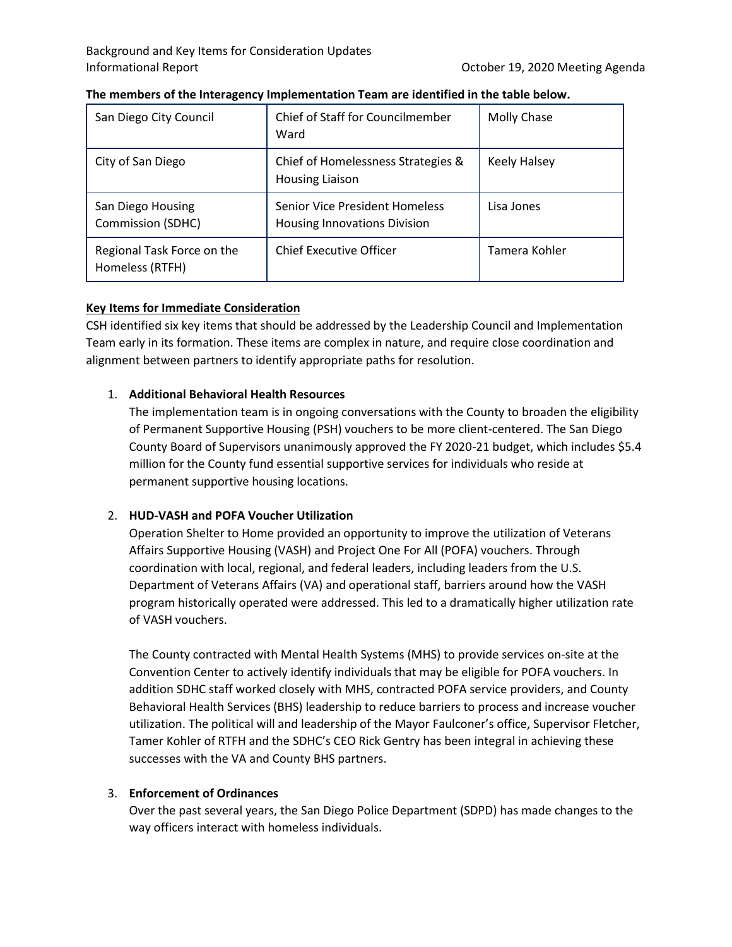| San Diego City Council                        | Chief of Staff for Councilmember<br>Ward                              | Molly Chase         |
|-----------------------------------------------|-----------------------------------------------------------------------|---------------------|
| City of San Diego                             | Chief of Homelessness Strategies &<br>Housing Liaison                 | <b>Keely Halsey</b> |
| San Diego Housing<br>Commission (SDHC)        | Senior Vice President Homeless<br><b>Housing Innovations Division</b> | Lisa Jones          |
| Regional Task Force on the<br>Homeless (RTFH) | <b>Chief Executive Officer</b>                                        | Tamera Kohler       |

### **The members of the Interagency Implementation Team are identified in the table below.**

## **Key Items for Immediate Consideration**

CSH identified six key items that should be addressed by the Leadership Council and Implementation Team early in its formation. These items are complex in nature, and require close coordination and alignment between partners to identify appropriate paths for resolution.

## 1. **Additional Behavioral Health Resources**

The implementation team is in ongoing conversations with the County to broaden the eligibility of Permanent Supportive Housing (PSH) vouchers to be more client-centered. The San Diego County Board of Supervisors unanimously approved the FY 2020-21 budget, which includes \$5.4 million for the County fund essential supportive services for individuals who reside at permanent supportive housing locations.

## 2. **HUD-VASH and POFA Voucher Utilization**

Operation Shelter to Home provided an opportunity to improve the utilization of Veterans Affairs Supportive Housing (VASH) and Project One For All (POFA) vouchers. Through coordination with local, regional, and federal leaders, including leaders from the U.S. Department of Veterans Affairs (VA) and operational staff, barriers around how the VASH program historically operated were addressed. This led to a dramatically higher utilization rate of VASH vouchers.

The County contracted with Mental Health Systems (MHS) to provide services on-site at the Convention Center to actively identify individuals that may be eligible for POFA vouchers. In addition SDHC staff worked closely with MHS, contracted POFA service providers, and County Behavioral Health Services (BHS) leadership to reduce barriers to process and increase voucher utilization. The political will and leadership of the Mayor Faulconer's office, Supervisor Fletcher, Tamer Kohler of RTFH and the SDHC's CEO Rick Gentry has been integral in achieving these successes with the VA and County BHS partners.

## 3. **Enforcement of Ordinances**

Over the past several years, the San Diego Police Department (SDPD) has made changes to the way officers interact with homeless individuals.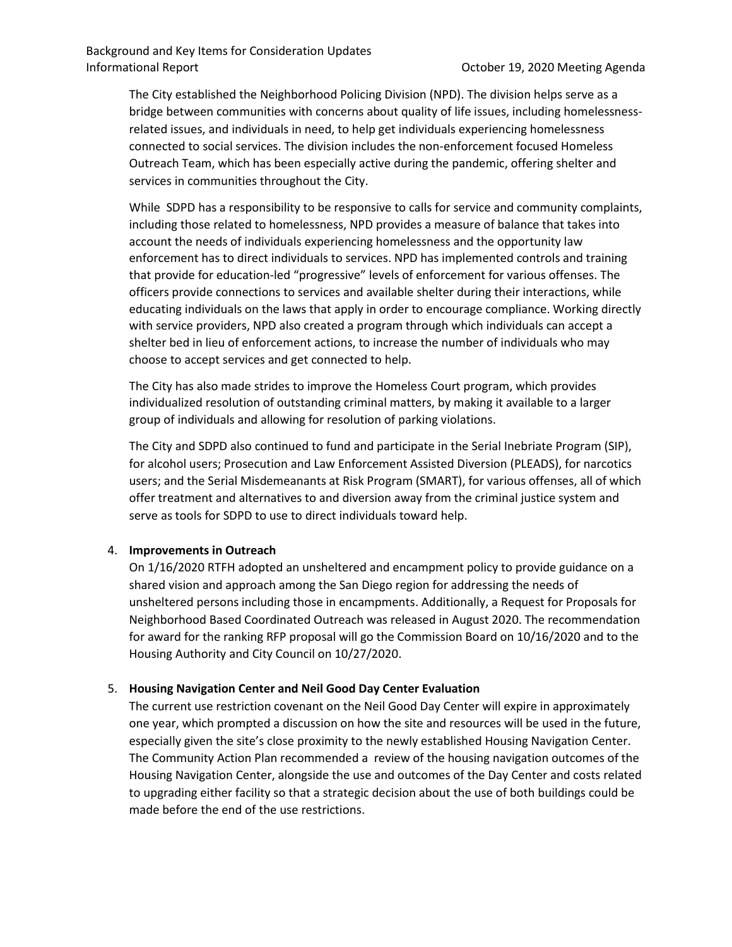The City established the Neighborhood Policing Division (NPD). The division helps serve as a bridge between communities with concerns about quality of life issues, including homelessnessrelated issues, and individuals in need, to help get individuals experiencing homelessness connected to social services. The division includes the non-enforcement focused Homeless Outreach Team, which has been especially active during the pandemic, offering shelter and services in communities throughout the City.

While SDPD has a responsibility to be responsive to calls for service and community complaints, including those related to homelessness, NPD provides a measure of balance that takes into account the needs of individuals experiencing homelessness and the opportunity law enforcement has to direct individuals to services. NPD has implemented controls and training that provide for education-led "progressive" levels of enforcement for various offenses. The officers provide connections to services and available shelter during their interactions, while educating individuals on the laws that apply in order to encourage compliance. Working directly with service providers, NPD also created a program through which individuals can accept a shelter bed in lieu of enforcement actions, to increase the number of individuals who may choose to accept services and get connected to help.

The City has also made strides to improve the Homeless Court program, which provides individualized resolution of outstanding criminal matters, by making it available to a larger group of individuals and allowing for resolution of parking violations.

The City and SDPD also continued to fund and participate in the Serial Inebriate Program (SIP), for alcohol users; Prosecution and Law Enforcement Assisted Diversion (PLEADS), for narcotics users; and the Serial Misdemeanants at Risk Program (SMART), for various offenses, all of which offer treatment and alternatives to and diversion away from the criminal justice system and serve as tools for SDPD to use to direct individuals toward help.

## 4. **Improvements in Outreach**

On 1/16/2020 RTFH adopted an unsheltered and encampment policy to provide guidance on a shared vision and approach among the San Diego region for addressing the needs of unsheltered persons including those in encampments. Additionally, a Request for Proposals for Neighborhood Based Coordinated Outreach was released in August 2020. The recommendation for award for the ranking RFP proposal will go the Commission Board on 10/16/2020 and to the Housing Authority and City Council on 10/27/2020.

## 5. **Housing Navigation Center and Neil Good Day Center Evaluation**

The current use restriction covenant on the Neil Good Day Center will expire in approximately one year, which prompted a discussion on how the site and resources will be used in the future, especially given the site's close proximity to the newly established Housing Navigation Center. The Community Action Plan recommended a review of the housing navigation outcomes of the Housing Navigation Center, alongside the use and outcomes of the Day Center and costs related to upgrading either facility so that a strategic decision about the use of both buildings could be made before the end of the use restrictions.